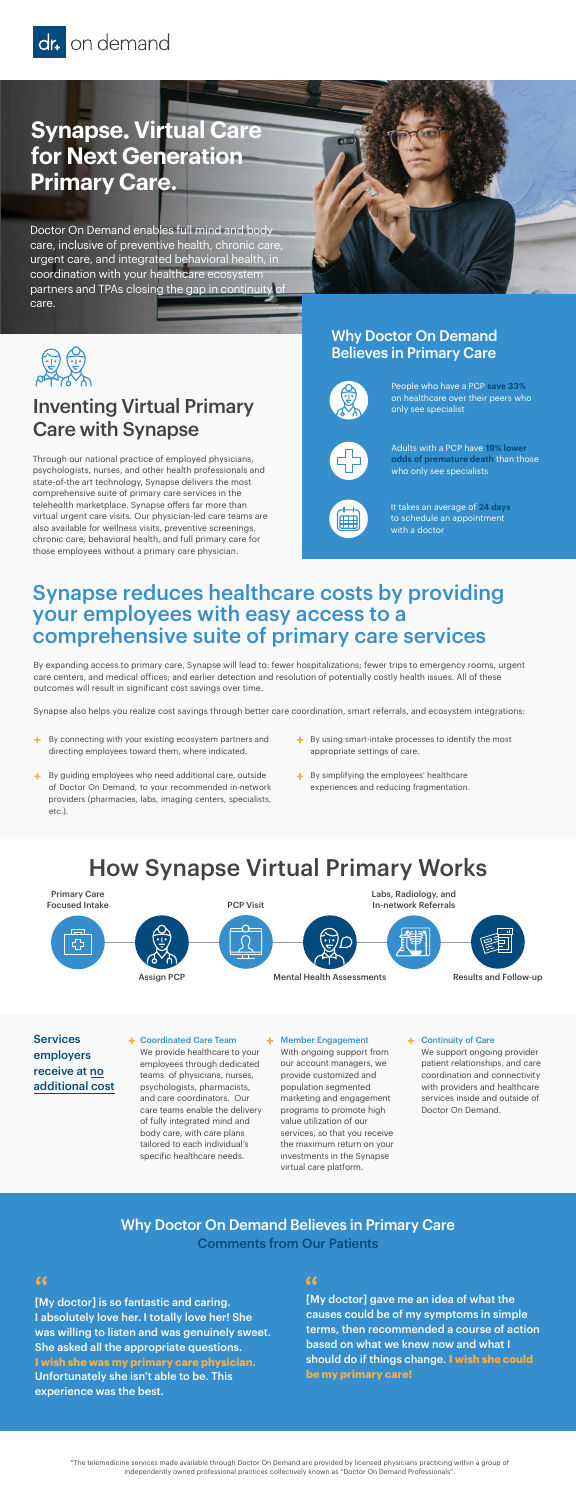### Inventing Virtual Primary Care with Synapse

Through our national practice of employed physicians, psychologists, nurses, and other health professionals and state-of-the art technology, Synapse delivers the most comprehensive suite of primary care services in the telehealth marketplace. Synapse offers far more than virtual urgent care visits. Our physician-led care teams are also available for wellness visits, preventive screenings, chronic care, behavioral health, and full primary care for those employees without a primary care physician.

# How Synapse Virtual Primary Works

Coordinated Care Team

We provide healthcare to your employees through dedicated teams of physicians, nurses, psychologists, pharmacists, and care coordinators. Our care teams enable the delivery of fully integrated mind and body care, with care plans tailored to each individual's specific healthcare needs.

#### Member Engagement

**Services** employers receive at no additional cost

With ongoing support from our account managers, we provide customized and population segmented marketing and engagement programs to promote high value utilization of our services, so that you receive the maximum return on your investments in the Synapse virtual care platform.

#### + Continuity of Care

We support ongoing provider patient relationships, and care coordination and connectivity with providers and healthcare services inside and outside of Doctor On Demand.

[My doctor] is so fantastic and caring. I absolutely love her. I totally love her! She was willing to listen and was genuinely sweet. She asked all the appropriate questions.

### $66$

**I wish she was my primary care physician.** Unfortunately she isn't able to be. This experience was the best.

[My doctor] gave me an idea of what the causes could be of my symptoms in simple terms, then recommended a course of action based on what we knew now and what I

- $\pm$  By connecting with your existing ecosystem partners and directing employees toward them, where indicated.
- $\div$  By guiding employees who need additional care, outside of Doctor On Demand, to your recommended in-network providers (pharmacies, labs, imaging centers, specialists, etc.).
- $\div$  By using smart-intake processes to identify the most appropriate settings of care.
- $\div$  By simplifying the employees' healthcare experiences and reducing fragmentation.

should do if things change. **I wish she could be my primary care!**

\*The telemedicine services made available through Doctor On Demand are provided by licensed physicians practicing within a group of independently owned professional practices collectively known as "Doctor On Demand Professionals".



### Why Doctor On Demand Believes in Primary Care Comments from Our Patients

### 66



# **Synapse. Virtual Care for Next Generation Primary Care.**

Doctor On Demand enables full mind and body care, inclusive of preventive health, chronic care, urgent care, and integrated behavioral health, in coordination with your healthcare ecosystem partners and TPAs closing the gap in continuity of care.





### Synapse reduces healthcare costs by providing your employees with easy access to a comprehensive suite of primary care services

By expanding access to primary care, Synapse will lead to: fewer hospitalizations; fewer trips to emergency rooms, urgent care centers, and medical offices; and earlier detection and resolution of potentially costly health issues. All of these outcomes will result in significant cost savings over time.

Synapse also helps you realize cost savings through better care coordination, smart referrals, and ecosystem integrations:

### Why Doctor On Demand Believes in Primary Care



People who have a PCP **save 33%** on healthcare over their peers who only see specialist



Adults with a PCP have **19% lower odds of premature death** than those who only see specialists



It takes an average of **24 days** to schedule an appointment with a doctor